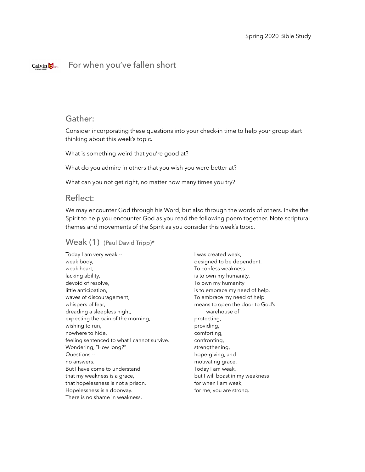#### For when you've fallen shortCalvin  $\bigotimes$  1876

## Gather:

Consider incorporating these questions into your check-in time to help your group start thinking about this week's topic.

What is something weird that you're good at?

What do you admire in others that you wish you were better at?

What can you not get right, no matter how many times you try?

### Reflect:

We may encounter God through his Word, but also through the words of others. Invite the Spirit to help you encounter God as you read the following poem together. Note scriptural themes and movements of the Spirit as you consider this week's topic.

### Weak (1) (Paul David Tripp)\*

Today I am very weak - weak body, weak heart, lacking ability, devoid of resolve, little anticipation, waves of discouragement, whispers of fear, dreading a sleepless night, expecting the pain of the morning, wishing to run, nowhere to hide, feeling sentenced to what I cannot survive. Wondering, "How long?" Questions - no answers. But I have come to understand that my weakness is a grace, that hopelessness is not a prison. Hopelessness is a doorway. There is no shame in weakness.

I was created weak, designed to be dependent. To confess weakness is to own my humanity. To own my humanity is to embrace my need of help. To embrace my need of help means to open the door to God's warehouse of protecting, providing, comforting, confronting, strengthening, hope-giving, and motivating grace. Today I am weak, but I will boast in my weakness for when I am weak, for me, you are strong.